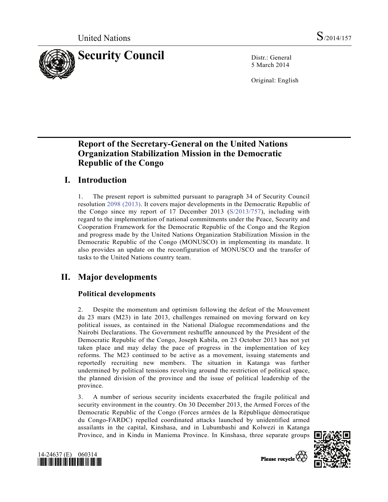

5 March 2014

Original: English

# **Report of the Secretary-General on the United Nations Organization Stabilization Mission in the Democratic Republic of the Congo**

# **I. Introduction**

1. The present report is submitted pursuant to paragraph 34 of Security Council resolution 2098 (2013). It covers major developments in the Democratic Republic of the Congo since my report of 17 December 2013 (S/2013/757), including with regard to the implementation of national commitments under the Peace, Security and Cooperation Framework for the Democratic Republic of the Congo and the Region and progress made by the United Nations Organization Stabilization Mission in the Democratic Republic of the Congo (MONUSCO) in implementing its mandate. It also provides an update on the reconfiguration of MONUSCO and the transfer of tasks to the United Nations country team.

# **II. Major developments**

## **Political developments**

2. Despite the momentum and optimism following the defeat of the Mouvement du 23 mars (M23) in late 2013, challenges remained on moving forward on key political issues, as contained in the National Dialogue recommendations and the Nairobi Declarations. The Government reshuffle announced by the President of the Democratic Republic of the Congo, Joseph Kabila, on 23 October 2013 has not yet taken place and may delay the pace of progress in the implementation of key reforms. The M23 continued to be active as a movement, issuing statements and reportedly recruiting new members. The situation in Katanga was further undermined by political tensions revolving around the restriction of political space, the planned division of the province and the issue of political leadership of the province.

3. A number of serious security incidents exacerbated the fragile political and security environment in the country. On 30 December 2013, the Armed Forces of the Democratic Republic of the Congo (Forces armées de la République démocratique du Congo-FARDC) repelled coordinated attacks launched by unidentified armed assailants in the capital, Kinshasa, and in Lubumbashi and Kolwezi in Katanga Province, and in Kindu in Maniema Province. In Kinshasa, three separate groups





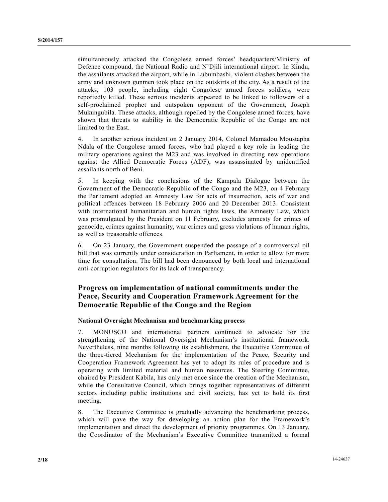simultaneously attacked the Congolese armed forces' headquarters/Ministry of Defence compound, the National Radio and N'Djili international airport. In Kindu, the assailants attacked the airport, while in Lubumbashi, violent clashes between the army and unknown gunmen took place on the outskirts of the city. As a result of the attacks, 103 people, including eight Congolese armed forces soldiers, were reportedly killed. These serious incidents appeared to be linked to followers of a self-proclaimed prophet and outspoken opponent of the Government, Joseph Mukungubila. These attacks, although repelled by the Congolese armed forces, have shown that threats to stability in the Democratic Republic of the Congo are not limited to the East.

4. In another serious incident on 2 January 2014, Colonel Mamadou Moustapha Ndala of the Congolese armed forces, who had played a key role in leading the military operations against the M23 and was involved in directing new operations against the Allied Democratic Forces (ADF), was assassinated by unidentified assailants north of Beni.

5. In keeping with the conclusions of the Kampala Dialogue between the Government of the Democratic Republic of the Congo and the M23, on 4 February the Parliament adopted an Amnesty Law for acts of insurrection, acts of war and political offences between 18 February 2006 and 20 December 2013. Consistent with international humanitarian and human rights laws, the Amnesty Law, which was promulgated by the President on 11 February, excludes amnesty for crimes of genocide, crimes against humanity, war crimes and gross violations of human rights, as well as treasonable offences.

6. On 23 January, the Government suspended the passage of a controversial oil bill that was currently under consideration in Parliament, in order to allow for more time for consultation. The bill had been denounced by both local and international anti-corruption regulators for its lack of transparency.

## **Progress on implementation of national commitments under the Peace, Security and Cooperation Framework Agreement for the Democratic Republic of the Congo and the Region**

## **National Oversight Mechanism and benchmarking process**

7. MONUSCO and international partners continued to advocate for the strengthening of the National Oversight Mechanism's institutional framework. Nevertheless, nine months following its establishment, the Executive Committee of the three-tiered Mechanism for the implementation of the Peace, Security and Cooperation Framework Agreement has yet to adopt its rules of procedure and is operating with limited material and human resources. The Steering Committee, chaired by President Kabila, has only met once since the creation of the Mechanism, while the Consultative Council, which brings together representatives of different sectors including public institutions and civil society, has yet to hold its first meeting.

8. The Executive Committee is gradually advancing the benchmarking process, which will pave the way for developing an action plan for the Framework's implementation and direct the development of priority programmes. On 13 January, the Coordinator of the Mechanism's Executive Committee transmitted a formal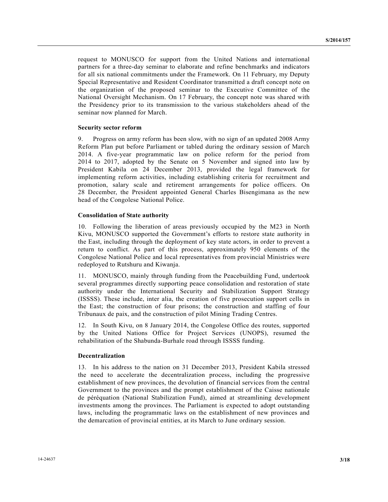request to MONUSCO for support from the United Nations and international partners for a three-day seminar to elaborate and refine benchmarks and indicators for all six national commitments under the Framework. On 11 February, my Deputy Special Representative and Resident Coordinator transmitted a draft concept note on the organization of the proposed seminar to the Executive Committee of the National Oversight Mechanism. On 17 February, the concept note was shared with the Presidency prior to its transmission to the various stakeholders ahead of the seminar now planned for March.

## **Security sector reform**

9. Progress on army reform has been slow, with no sign of an updated 2008 Army Reform Plan put before Parliament or tabled during the ordinary session of March 2014. A five-year programmatic law on police reform for the period from 2014 to 2017, adopted by the Senate on 5 November and signed into law by President Kabila on 24 December 2013, provided the legal framework for implementing reform activities, including establishing criteria for recruitment and promotion, salary scale and retirement arrangements for police officers. On 28 December, the President appointed General Charles Bisengimana as the new head of the Congolese National Police.

#### **Consolidation of State authority**

10. Following the liberation of areas previously occupied by the M23 in North Kivu, MONUSCO supported the Government's efforts to restore state authority in the East, including through the deployment of key state actors, in order to prevent a return to conflict. As part of this process, approximately 950 elements of the Congolese National Police and local representatives from provincial Ministries were redeployed to Rutshuru and Kiwanja.

11. MONUSCO, mainly through funding from the Peacebuilding Fund, undertook several programmes directly supporting peace consolidation and restoration of state authority under the International Security and Stabilization Support Strategy (ISSSS). These include, inter alia, the creation of five prosecution support cells in the East; the construction of four prisons; the construction and staffing of four Tribunaux de paix, and the construction of pilot Mining Trading Centres.

12. In South Kivu, on 8 January 2014, the Congolese Office des routes, supported by the United Nations Office for Project Services (UNOPS), resumed the rehabilitation of the Shabunda-Burhale road through ISSSS funding.

### **Decentralization**

13. In his address to the nation on 31 December 2013, President Kabila stressed the need to accelerate the decentralization process, including the progressive establishment of new provinces, the devolution of financial services from the central Government to the provinces and the prompt establishment of the Caisse nationale de péréquation (National Stabilization Fund), aimed at streamlining development investments among the provinces. The Parliament is expected to adopt outstanding laws, including the programmatic laws on the establishment of new provinces and the demarcation of provincial entities, at its March to June ordinary session.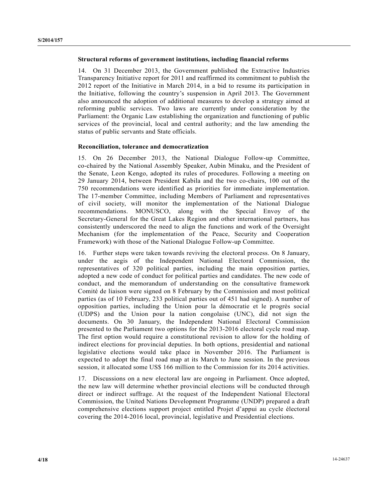### **Structural reforms of government institutions, including financial reforms**

14. On 31 December 2013, the Government published the Extractive Industries Transparency Initiative report for 2011 and reaffirmed its commitment to publish the 2012 report of the Initiative in March 2014, in a bid to resume its participation in the Initiative, following the country's suspension in April 2013. The Government also announced the adoption of additional measures to develop a strategy aimed at reforming public services. Two laws are currently under consideration by the Parliament: the Organic Law establishing the organization and functioning of public services of the provincial, local and central authority; and the law amending the status of public servants and State officials.

### **Reconciliation, tolerance and democratization**

15. On 26 December 2013, the National Dialogue Follow-up Committee, co-chaired by the National Assembly Speaker, Aubin Minaku, and the President of the Senate, Leon Kengo, adopted its rules of procedures. Following a meeting on 29 January 2014, between President Kabila and the two co-chairs, 100 out of the 750 recommendations were identified as priorities for immediate implementation. The 17-member Committee, including Members of Parliament and representatives of civil society, will monitor the implementation of the National Dialogue recommendations. MONUSCO, along with the Special Envoy of the Secretary-General for the Great Lakes Region and other international partners, has consistently underscored the need to align the functions and work of the Oversight Mechanism (for the implementation of the Peace, Security and Cooperation Framework) with those of the National Dialogue Follow-up Committee.

16. Further steps were taken towards reviving the electoral process. On 8 January, under the aegis of the Independent National Electoral Commission, the representatives of 320 political parties, including the main opposition parties, adopted a new code of conduct for political parties and candidates. The new code of conduct, and the memorandum of understanding on the consultative framework Comité de liaison were signed on 8 February by the Commission and most political parties (as of 10 February, 233 political parties out of 451 had signed). A number of opposition parties, including the Union pour la démocratie et le progrès social (UDPS) and the Union pour la nation congolaise (UNC), did not sign the documents. On 30 January, the Independent National Electoral Commission presented to the Parliament two options for the 2013-2016 electoral cycle road map. The first option would require a constitutional revision to allow for the holding of indirect elections for provincial deputies. In both options, presidential and national legislative elections would take place in November 2016. The Parliament is expected to adopt the final road map at its March to June session. In the previous session, it allocated some US\$ 166 million to the Commission for its 2014 activities.

17. Discussions on a new electoral law are ongoing in Parliament. Once adopted, the new law will determine whether provincial elections will be conducted through direct or indirect suffrage. At the request of the Independent National Electoral Commission, the United Nations Development Programme (UNDP) prepared a draft comprehensive elections support project entitled Projet d'appui au cycle électoral covering the 2014-2016 local, provincial, legislative and Presidential elections.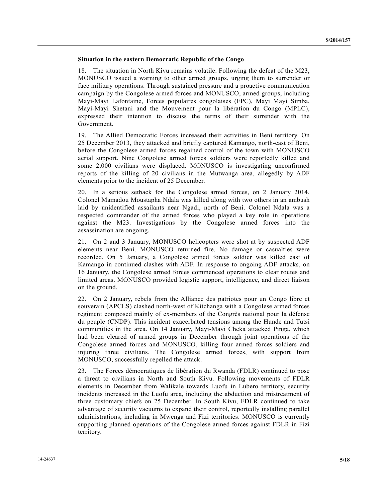### **Situation in the eastern Democratic Republic of the Congo**

18. The situation in North Kivu remains volatile. Following the defeat of the M23, MONUSCO issued a warning to other armed groups, urging them to surrender or face military operations. Through sustained pressure and a proactive communication campaign by the Congolese armed forces and MONUSCO, armed groups, including Mayi-Mayi Lafontaine, Forces populaires congolaises (FPC), Mayi Mayi Simba, Mayi-Mayi Shetani and the Mouvement pour la libération du Congo (MPLC), expressed their intention to discuss the terms of their surrender with the Government.

19. The Allied Democratic Forces increased their activities in Beni territory. On 25 December 2013, they attacked and briefly captured Kamango, north-east of Beni, before the Congolese armed forces regained control of the town with MONUSCO aerial support. Nine Congolese armed forces soldiers were reportedly killed and some 2,000 civilians were displaced. MONUSCO is investigating unconfirmed reports of the killing of 20 civilians in the Mutwanga area, allegedly by ADF elements prior to the incident of 25 December.

20. In a serious setback for the Congolese armed forces, on 2 January 2014, Colonel Mamadou Moustapha Ndala was killed along with two others in an ambush laid by unidentified assailants near Ngadi, north of Beni. Colonel Ndala was a respected commander of the armed forces who played a key role in operations against the M23. Investigations by the Congolese armed forces into the assassination are ongoing.

21. On 2 and 3 January, MONUSCO helicopters were shot at by suspected ADF elements near Beni. MONUSCO returned fire. No damage or casualties were recorded. On 5 January, a Congolese armed forces soldier was killed east of Kamango in continued clashes with ADF. In response to ongoing ADF attacks, on 16 January, the Congolese armed forces commenced operations to clear routes and limited areas. MONUSCO provided logistic support, intelligence, and direct liaison on the ground.

22. On 2 January, rebels from the Alliance des patriotes pour un Congo libre et souverain (APCLS) clashed north-west of Kitchanga with a Congolese armed forces regiment composed mainly of ex-members of the Congrès national pour la défense du peuple (CNDP). This incident exacerbated tensions among the Hunde and Tutsi communities in the area. On 14 January, Mayi-Mayi Cheka attacked Pinga, which had been cleared of armed groups in December through joint operations of the Congolese armed forces and MONUSCO, killing four armed forces soldiers and injuring three civilians. The Congolese armed forces, with support from MONUSCO, successfully repelled the attack.

23. The Forces démocratiques de libération du Rwanda (FDLR) continued to pose a threat to civilians in North and South Kivu. Following movements of FDLR elements in December from Walikale towards Luofu in Lubero territory, security incidents increased in the Luofu area, including the abduction and mistreatment of three customary chiefs on 25 December. In South Kivu, FDLR continued to take advantage of security vacuums to expand their control, reportedly installing parallel administrations, including in Mwenga and Fizi territories. MONUSCO is currently supporting planned operations of the Congolese armed forces against FDLR in Fizi territory.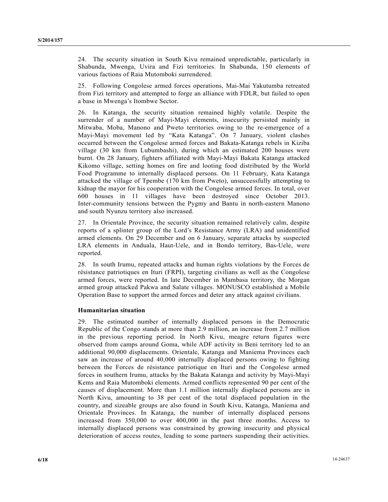24. The security situation in South Kivu remained unpredictable, particularly in Shabunda, Mwenga, Uvira and Fizi territories. In Shabunda, 150 elements of various factions of Raia Mutomboki surrendered.

25. Following Congolese armed forces operations, Mai-Mai Yakutumba retreated from Fizi territory and attempted to forge an alliance with FDLR, but failed to open a base in Mwenga's Itombwe Sector.

26. In Katanga, the security situation remained highly volatile. Despite the surrender of a number of Mayi-Mayi elements, insecurity persisted mainly in Mitwaba, Moba, Manono and Pweto territories owing to the re-emergence of a Mayi-Mayi movement led by "Kata Katanga". On 7 January, violent clashes occurred between the Congolese armed forces and Bakata-Katanga rebels in Kiziba village (30 km from Lubumbashi), during which an estimated 200 houses were burnt. On 28 January, fighters affiliated with Mayi-Mayi Bakata Katanga attacked Kikomo village, setting homes on fire and looting food distributed by the World Food Programme to internally displaced persons. On 11 February, Kata Katanga attacked the village of Tpembe (170 km from Pweto), unsuccessfully attempting to kidnap the mayor for his cooperation with the Congolese armed forces. In total, over 600 houses in 11 villages have been destroyed since October 2013. Inter-community tensions between the Pygmy and Bantu in north-eastern Manono and south Nyunzu territory also increased.

27. In Orientale Province, the security situation remained relatively calm, despite reports of a splinter group of the Lord's Resistance Army (LRA) and unidentified armed elements. On 29 December and on 6 January, separate attacks by suspected LRA elements in Anduala, Haut-Uele, and in Bondo territory, Bas-Uele, were reported.

28. In south Irumu, repeated attacks and human rights violations by the Forces de résistance patriotiques en Ituri (FRPI), targeting civilians as well as the Congolese armed forces, were reported. In late December in Mambasa territory, the Morgan armed group attacked Pakwa and Salate villages. MONUSCO established a Mobile Operation Base to support the armed forces and deter any attack against civilians.

## **Humanitarian situation**

29. The estimated number of internally displaced persons in the Democratic Republic of the Congo stands at more than 2.9 million, an increase from 2.7 million in the previous reporting period. In North Kivu, meagre return figures were observed from camps around Goma, while ADF activity in Beni territory led to an additional 90,000 displacements. Orientale, Katanga and Maniema Provinces each saw an increase of around 40,000 internally displaced persons owing to fighting between the Forces de résistance patriotique en Ituri and the Congolese armed forces in southern Irumu, attacks by the Bakata Katanga and activity by Mayi-Mayi Kems and Raia Mutomboki elements. Armed conflicts represented 90 per cent of the causes of displacement. More than 1.1 million internally displaced persons are in North Kivu, amounting to 38 per cent of the total displaced population in the country, and sizeable groups are also found in South Kivu, Katanga, Maniema and Orientale Provinces. In Katanga, the number of internally displaced persons increased from 350,000 to over 400,000 in the past three months. Access to internally displaced persons was constrained by growing insecurity and physical deterioration of access routes, leading to some partners suspending their activities.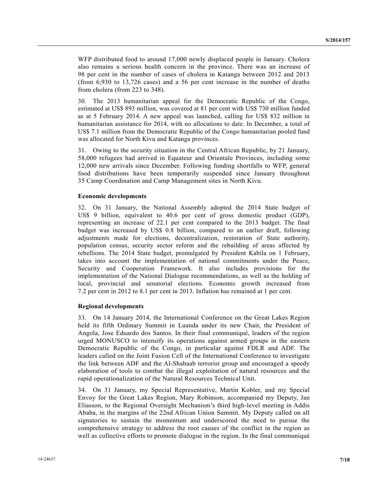WFP distributed food to around 17,000 newly displaced people in January. Cholera also remains a serious health concern in the province. There was an increase of 98 per cent in the number of cases of cholera in Katanga between 2012 and 2013 (from 6,930 to 13,726 cases) and a 56 per cent increase in the number of deaths from cholera (from 223 to 348).

30. The 2013 humanitarian appeal for the Democratic Republic of the Congo, estimated at US\$ 893 million, was covered at 81 per cent with US\$ 730 million funded as at 5 February 2014. A new appeal was launched, calling for US\$ 832 million in humanitarian assistance for 2014, with no allocations to date. In December, a total of US\$ 7.1 million from the Democratic Republic of the Congo humanitarian pooled fund was allocated for North Kivu and Katanga provinces.

31. Owing to the security situation in the Central African Republic, by 21 January, 58,000 refugees had arrived in Equateur and Orientale Provinces, including some 12,000 new arrivals since December. Following funding shortfalls to WFP, general food distributions have been temporarily suspended since January throughout 35 Camp Coordination and Camp Management sites in North Kivu.

#### **Economic developments**

32. On 31 January, the National Assembly adopted the 2014 State budget of US\$ 9 billion, equivalent to 40.6 per cent of gross domestic product (GDP), representing an increase of 22.1 per cent compared to the 2013 budget. The final budget was increased by US\$ 0.8 billion, compared to an earlier draft, following adjustments made for elections, decentralization, restoration of State authority, population census, security sector reform and the rebuilding of areas affected by rebellions. The 2014 State budget, promulgated by President Kabila on 1 February, takes into account the implementation of national commitments under the Peace, Security and Cooperation Framework. It also includes provisions for the implementation of the National Dialogue recommendations, as well as the holding of local, provincial and senatorial elections. Economic growth increased from 7.2 per cent in 2012 to 8.1 per cent in 2013. Inflation has remained at 1 per cent.

#### **Regional developments**

33. On 14 January 2014, the International Conference on the Great Lakes Region held its fifth Ordinary Summit in Luanda under its new Chair, the President of Angola, Jose Eduardo dos Santos. In their final communiqué, leaders of the region urged MONUSCO to intensify its operations against armed groups in the eastern Democratic Republic of the Congo, in particular against FDLR and ADF. The leaders called on the Joint Fusion Cell of the International Conference to investigate the link between ADF and the Al-Shabaab terrorist group and encouraged a speedy elaboration of tools to combat the illegal exploitation of natural resources and the rapid operationalization of the Natural Resources Technical Unit.

34. On 31 January, my Special Representative, Martin Kobler, and my Special Envoy for the Great Lakes Region, Mary Robinson, accompanied my Deputy, Jan Eliasson, to the Regional Oversight Mechanism's third high-level meeting in Addis Ababa, in the margins of the 22nd African Union Summit. My Deputy called on all signatories to sustain the momentum and underscored the need to pursue the comprehensive strategy to address the root causes of the conflict in the region as well as collective efforts to promote dialogue in the region. In the final communiqué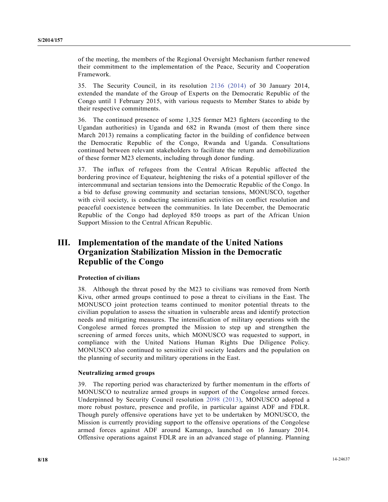of the meeting, the members of the Regional Oversight Mechanism further renewed their commitment to the implementation of the Peace, Security and Cooperation Framework.

35. The Security Council, in its resolution 2136 (2014) of 30 January 2014, extended the mandate of the Group of Experts on the Democratic Republic of the Congo until 1 February 2015, with various requests to Member States to abide by their respective commitments.

36. The continued presence of some 1,325 former M23 fighters (according to the Ugandan authorities) in Uganda and 682 in Rwanda (most of them there since March 2013) remains a complicating factor in the building of confidence between the Democratic Republic of the Congo, Rwanda and Uganda. Consultations continued between relevant stakeholders to facilitate the return and demobilization of these former M23 elements, including through donor funding.

37. The influx of refugees from the Central African Republic affected the bordering province of Equateur, heightening the risks of a potential spillover of the intercommunal and sectarian tensions into the Democratic Republic of the Congo. In a bid to defuse growing community and sectarian tensions, MONUSCO, together with civil society, is conducting sensitization activities on conflict resolution and peaceful coexistence between the communities. In late December, the Democratic Republic of the Congo had deployed 850 troops as part of the African Union Support Mission to the Central African Republic.

## **III. Implementation of the mandate of the United Nations Organization Stabilization Mission in the Democratic Republic of the Congo**

## **Protection of civilians**

38. Although the threat posed by the M23 to civilians was removed from North Kivu, other armed groups continued to pose a threat to civilians in the East. The MONUSCO joint protection teams continued to monitor potential threats to the civilian population to assess the situation in vulnerable areas and identify protection needs and mitigating measures. The intensification of military operations with the Congolese armed forces prompted the Mission to step up and strengthen the screening of armed forces units, which MONUSCO was requested to support, in compliance with the United Nations Human Rights Due Diligence Policy. MONUSCO also continued to sensitize civil society leaders and the population on the planning of security and military operations in the East.

## **Neutralizing armed groups**

39. The reporting period was characterized by further momentum in the efforts of MONUSCO to neutralize armed groups in support of the Congolese armed forces. Underpinned by Security Council resolution 2098 (2013), MONUSCO adopted a more robust posture, presence and profile, in particular against ADF and FDLR. Though purely offensive operations have yet to be undertaken by MONUSCO, the Mission is currently providing support to the offensive operations of the Congolese armed forces against ADF around Kamango, launched on 16 January 2014. Offensive operations against FDLR are in an advanced stage of planning. Planning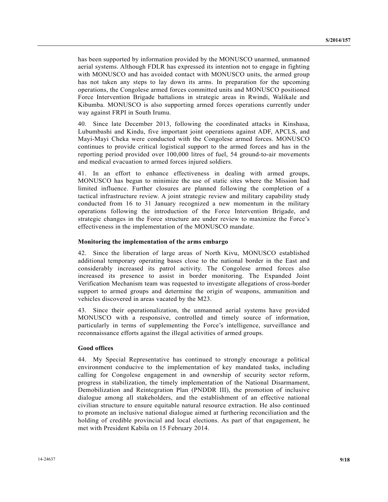has been supported by information provided by the MONUSCO unarmed, unmanned aerial systems. Although FDLR has expressed its intention not to engage in fighting with MONUSCO and has avoided contact with MONUSCO units, the armed group has not taken any steps to lay down its arms. In preparation for the upcoming operations, the Congolese armed forces committed units and MONUSCO positioned Force Intervention Brigade battalions in strategic areas in Rwindi, Walikale and Kibumba. MONUSCO is also supporting armed forces operations currently under way against FRPI in South Irumu.

40. Since late December 2013, following the coordinated attacks in Kinshasa, Lubumbashi and Kindu, five important joint operations against ADF, APCLS, and Mayi-Mayi Cheka were conducted with the Congolese armed forces. MONUSCO continues to provide critical logistical support to the armed forces and has in the reporting period provided over 100,000 litres of fuel, 54 ground-to-air movements and medical evacuation to armed forces injured soldiers.

41. In an effort to enhance effectiveness in dealing with armed groups, MONUSCO has begun to minimize the use of static sites where the Mission had limited influence. Further closures are planned following the completion of a tactical infrastructure review. A joint strategic review and military capability study conducted from 16 to 31 January recognized a new momentum in the military operations following the introduction of the Force Intervention Brigade, and strategic changes in the Force structure are under review to maximize the Force's effectiveness in the implementation of the MONUSCO mandate.

### **Monitoring the implementation of the arms embargo**

42. Since the liberation of large areas of North Kivu, MONUSCO established additional temporary operating bases close to the national border in the East and considerably increased its patrol activity. The Congolese armed forces also increased its presence to assist in border monitoring. The Expanded Joint Verification Mechanism team was requested to investigate allegations of cross-border support to armed groups and determine the origin of weapons, ammunition and vehicles discovered in areas vacated by the M23.

43. Since their operationalization, the unmanned aerial systems have provided MONUSCO with a responsive, controlled and timely source of information, particularly in terms of supplementing the Force's intelligence, surveillance and reconnaissance efforts against the illegal activities of armed groups.

## **Good offices**

44. My Special Representative has continued to strongly encourage a political environment conducive to the implementation of key mandated tasks, including calling for Congolese engagement in and ownership of security sector reform, progress in stabilization, the timely implementation of the National Disarmament, Demobilization and Reintegration Plan (PNDDR III), the promotion of inclusive dialogue among all stakeholders, and the establishment of an effective national civilian structure to ensure equitable natural resource extraction. He also continued to promote an inclusive national dialogue aimed at furthering reconciliation and the holding of credible provincial and local elections. As part of that engagement, he met with President Kabila on 15 February 2014.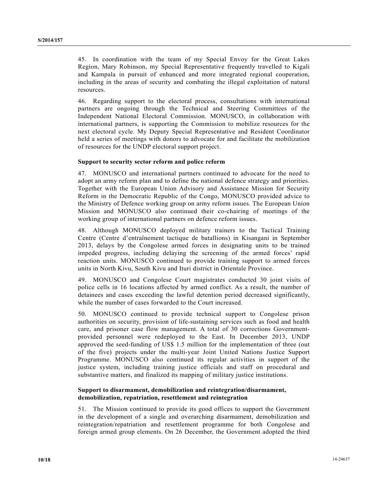45. In coordination with the team of my Special Envoy for the Great Lakes Region, Mary Robinson, my Special Representative frequently travelled to Kigali and Kampala in pursuit of enhanced and more integrated regional cooperation, including in the areas of security and combating the illegal exploitation of natural resources.

46. Regarding support to the electoral process, consultations with international partners are ongoing through the Technical and Steering Committees of the Independent National Electoral Commission. MONUSCO, in collaboration with international partners, is supporting the Commission to mobilize resources for the next electoral cycle. My Deputy Special Representative and Resident Coordinator held a series of meetings with donors to advocate for and facilitate the mobilization of resources for the UNDP electoral support project.

## **Support to security sector reform and police reform**

47. MONUSCO and international partners continued to advocate for the need to adopt an army reform plan and to define the national defence strategy and priorities. Together with the European Union Advisory and Assistance Mission for Security Reform in the Democratic Republic of the Congo, MONUSCO provided advice to the Ministry of Defence working group on army reform issues. The European Union Mission and MONUSCO also continued their co-chairing of meetings of the working group of international partners on defence reform issues.

48. Although MONUSCO deployed military trainers to the Tactical Training Centre (Centre d'entraînement tactique de batallions) in Kisangani in September 2013, delays by the Congolese armed forces in designating units to be trained impeded progress, including delaying the screening of the armed forces' rapid reaction units. MONUSCO continued to provide training support to armed forces units in North Kivu, South Kivu and Ituri district in Orientale Province.

49. MONUSCO and Congolese Court magistrates conducted 30 joint visits of police cells in 16 locations affected by armed conflict. As a result, the number of detainees and cases exceeding the lawful detention period decreased significantly, while the number of cases forwarded to the Court increased.

50. MONUSCO continued to provide technical support to Congolese prison authorities on security, provision of life-sustaining services such as food and health care, and prisoner case flow management. A total of 30 corrections Governmentprovided personnel were redeployed to the East. In December 2013, UNDP approved the seed-funding of US\$ 1.5 million for the implementation of three (out of the five) projects under the multi-year Joint United Nations Justice Support Programme. MONUSCO also continued its regular activities in support of the justice system, including training justice officials and staff on procedural and substantive matters, and finalized its mapping of military justice institutions.

## **Support to disarmament, demobilization and reintegration/disarmament, demobilization, repatriation, resettlement and reintegration**

51. The Mission continued to provide its good offices to support the Government in the development of a single and overarching disarmament, demobilization and reintegration/repatriation and resettlement programme for both Congolese and foreign armed group elements. On 26 December, the Government adopted the third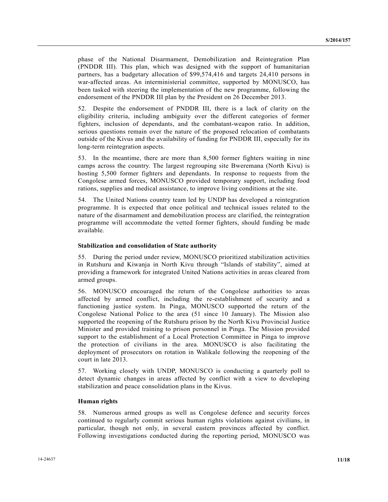phase of the National Disarmament, Demobilization and Reintegration Plan (PNDDR III). This plan, which was designed with the support of humanitarian partners, has a budgetary allocation of \$99,574,416 and targets 24,410 persons in war-affected areas. An interministerial committee, supported by MONUSCO, has been tasked with steering the implementation of the new programme, following the endorsement of the PNDDR III plan by the President on 26 December 2013.

52. Despite the endorsement of PNDDR III, there is a lack of clarity on the eligibility criteria, including ambiguity over the different categories of former fighters, inclusion of dependants, and the combatant-weapon ratio. In addition, serious questions remain over the nature of the proposed relocation of combatants outside of the Kivus and the availability of funding for PNDDR III, especially for its long-term reintegration aspects.

53. In the meantime, there are more than 8,500 former fighters waiting in nine camps across the country. The largest regrouping site Bweremana (North Kivu) is hosting 5,500 former fighters and dependants. In response to requests from the Congolese armed forces, MONUSCO provided temporary support, including food rations, supplies and medical assistance, to improve living conditions at the site.

54. The United Nations country team led by UNDP has developed a reintegration programme. It is expected that once political and technical issues related to the nature of the disarmament and demobilization process are clarified, the reintegration programme will accommodate the vetted former fighters, should funding be made available.

### **Stabilization and consolidation of State authority**

55. During the period under review, MONUSCO prioritized stabilization activities in Rutshuru and Kiwanja in North Kivu through "Islands of stability", aimed at providing a framework for integrated United Nations activities in areas cleared from armed groups.

56. MONUSCO encouraged the return of the Congolese authorities to areas affected by armed conflict, including the re-establishment of security and a functioning justice system. In Pinga, MONUSCO supported the return of the Congolese National Police to the area (51 since 10 January). The Mission also supported the reopening of the Rutshuru prison by the North Kivu Provincial Justice Minister and provided training to prison personnel in Pinga. The Mission provided support to the establishment of a Local Protection Committee in Pinga to improve the protection of civilians in the area. MONUSCO is also facilitating the deployment of prosecutors on rotation in Walikale following the reopening of the court in late 2013.

57. Working closely with UNDP, MONUSCO is conducting a quarterly poll to detect dynamic changes in areas affected by conflict with a view to developing stabilization and peace consolidation plans in the Kivus.

### **Human rights**

58. Numerous armed groups as well as Congolese defence and security forces continued to regularly commit serious human rights violations against civilians, in particular, though not only, in several eastern provinces affected by conflict. Following investigations conducted during the reporting period, MONUSCO was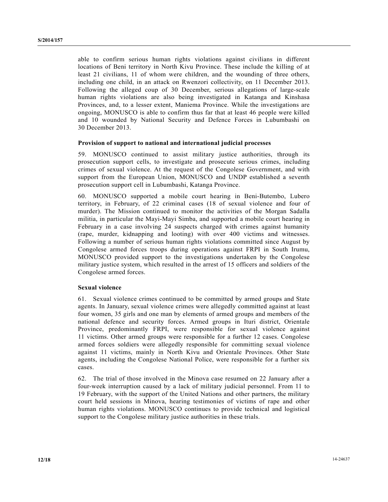able to confirm serious human rights violations against civilians in different locations of Beni territory in North Kivu Province. These include the killing of at least 21 civilians, 11 of whom were children, and the wounding of three others, including one child, in an attack on Rwenzori collectivity, on 11 December 2013. Following the alleged coup of 30 December, serious allegations of large-scale human rights violations are also being investigated in Katanga and Kinshasa Provinces, and, to a lesser extent, Maniema Province. While the investigations are ongoing, MONUSCO is able to confirm thus far that at least 46 people were killed and 10 wounded by National Security and Defence Forces in Lubumbashi on 30 December 2013.

### **Provision of support to national and international judicial processes**

59. MONUSCO continued to assist military justice authorities, through its prosecution support cells, to investigate and prosecute serious crimes, including crimes of sexual violence. At the request of the Congolese Government, and with support from the European Union, MONUSCO and UNDP established a seventh prosecution support cell in Lubumbashi, Katanga Province.

60. MONUSCO supported a mobile court hearing in Beni-Butembo, Lubero territory, in February, of 22 criminal cases (18 of sexual violence and four of murder). The Mission continued to monitor the activities of the Morgan Sadalla militia, in particular the Mayi-Mayi Simba, and supported a mobile court hearing in February in a case involving 24 suspects charged with crimes against humanity (rape, murder, kidnapping and looting) with over 400 victims and witnesses. Following a number of serious human rights violations committed since August by Congolese armed forces troops during operations against FRPI in South Irumu, MONUSCO provided support to the investigations undertaken by the Congolese military justice system, which resulted in the arrest of 15 officers and soldiers of the Congolese armed forces.

#### **Sexual violence**

61. Sexual violence crimes continued to be committed by armed groups and State agents. In January, sexual violence crimes were allegedly committed against at least four women, 35 girls and one man by elements of armed groups and members of the national defence and security forces. Armed groups in Ituri district, Orientale Province, predominantly FRPI, were responsible for sexual violence against 11 victims. Other armed groups were responsible for a further 12 cases. Congolese armed forces soldiers were allegedly responsible for committing sexual violence against 11 victims, mainly in North Kivu and Orientale Provinces. Other State agents, including the Congolese National Police, were responsible for a further six cases.

62. The trial of those involved in the Minova case resumed on 22 January after a four-week interruption caused by a lack of military judicial personnel. From 11 to 19 February, with the support of the United Nations and other partners, the military court held sessions in Minova, hearing testimonies of victims of rape and other human rights violations. MONUSCO continues to provide technical and logistical support to the Congolese military justice authorities in these trials.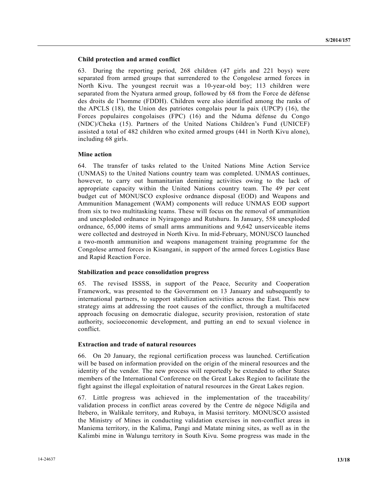### **Child protection and armed conflict**

63. During the reporting period, 268 children (47 girls and 221 boys) were separated from armed groups that surrendered to the Congolese armed forces in North Kivu. The youngest recruit was a 10-year-old boy; 113 children were separated from the Nyatura armed group, followed by 68 from the Force de défense des droits de l'homme (FDDH). Children were also identified among the ranks of the APCLS (18), the Union des patriotes congolais pour la paix (UPCP) (16), the Forces populaires congolaises (FPC) (16) and the Nduma défense du Congo (NDC)/Cheka (15). Partners of the United Nations Children's Fund (UNICEF) assisted a total of 482 children who exited armed groups (441 in North Kivu alone), including 68 girls.

## **Mine action**

64. The transfer of tasks related to the United Nations Mine Action Service (UNMAS) to the United Nations country team was completed. UNMAS continues, however, to carry out humanitarian demining activities owing to the lack of appropriate capacity within the United Nations country team. The 49 per cent budget cut of MONUSCO explosive ordnance disposal (EOD) and Weapons and Ammunition Management (WAM) components will reduce UNMAS EOD support from six to two multitasking teams. These will focus on the removal of ammunition and unexploded ordnance in Nyiragongo and Rutshuru. In January, 558 unexploded ordnance, 65,000 items of small arms ammunitions and 9,642 unserviceable items were collected and destroyed in North Kivu. In mid-February, MONUSCO launched a two-month ammunition and weapons management training programme for the Congolese armed forces in Kisangani, in support of the armed forces Logistics Base and Rapid Reaction Force.

#### **Stabilization and peace consolidation progress**

65. The revised ISSSS, in support of the Peace, Security and Cooperation Framework, was presented to the Government on 13 January and subsequently to international partners, to support stabilization activities across the East. This new strategy aims at addressing the root causes of the conflict, through a multifaceted approach focusing on democratic dialogue, security provision, restoration of state authority, socioeconomic development, and putting an end to sexual violence in conflict.

#### **Extraction and trade of natural resources**

66. On 20 January, the regional certification process was launched. Certification will be based on information provided on the origin of the mineral resources and the identity of the vendor. The new process will reportedly be extended to other States members of the International Conference on the Great Lakes Region to facilitate the fight against the illegal exploitation of natural resources in the Great Lakes region.

67. Little progress was achieved in the implementation of the traceability/ validation process in conflict areas covered by the Centre de négoce Ndigila and Itebero, in Walikale territory, and Rubaya, in Masisi territory. MONUSCO assisted the Ministry of Mines in conducting validation exercises in non-conflict areas in Maniema territory, in the Kalima, Pangi and Matate mining sites, as well as in the Kalimbi mine in Walungu territory in South Kivu. Some progress was made in the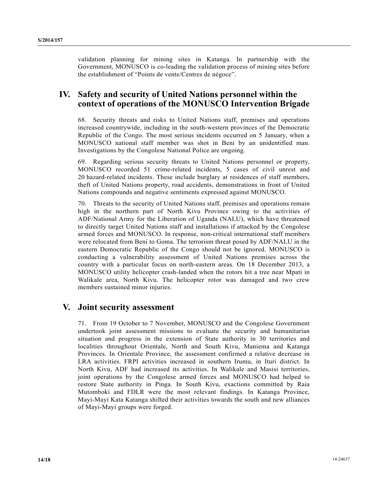validation planning for mining sites in Katanga. In partnership with the Government, MONUSCO is co-leading the validation process of mining sites before the establishment of "Points de vente/Centres de négoce".

## **IV. Safety and security of United Nations personnel within the context of operations of the MONUSCO Intervention Brigade**

68. Security threats and risks to United Nations staff, premises and operations increased countrywide, including in the south-western provinces of the Democratic Republic of the Congo. The most serious incidents occurred on 5 January, when a MONUSCO national staff member was shot in Beni by an unidentified man. Investigations by the Congolese National Police are ongoing.

69. Regarding serious security threats to United Nations personnel or property, MONUSCO recorded 51 crime-related incidents, 5 cases of civil unrest and 20 hazard-related incidents. These include burglary at residences of staff members, theft of United Nations property, road accidents, demonstrations in front of United Nations compounds and negative sentiments expressed against MONUSCO.

70. Threats to the security of United Nations staff, premises and operations remain high in the northern part of North Kivu Province owing to the activities of ADF/National Army for the Liberation of Uganda (NALU), which have threatened to directly target United Nations staff and installations if attacked by the Congolese armed forces and MONUSCO. In response, non-critical international staff members were relocated from Beni to Goma. The terrorism threat posed by ADF/NALU in the eastern Democratic Republic of the Congo should not be ignored. MONUSCO is conducting a vulnerability assessment of United Nations premises across the country with a particular focus on north-eastern areas. On 18 December 2013, a MONUSCO utility helicopter crash-landed when the rotors hit a tree near Mpati in Walikale area, North Kivu. The helicopter rotor was damaged and two crew members sustained minor injuries.

## **V. Joint security assessment**

71. From 19 October to 7 November, MONUSCO and the Congolese Government undertook joint assessment missions to evaluate the security and humanitarian situation and progress in the extension of State authority in 30 territories and localities throughout Orientale, North and South Kivu, Maniema and Katanga Provinces. In Orientale Province, the assessment confirmed a relative decrease in LRA activities. FRPI activities increased in southern Irumu, in Ituri district. In North Kivu, ADF had increased its activities. In Walikale and Masisi territories, joint operations by the Congolese armed forces and MONUSCO had helped to restore State authority in Pinga. In South Kivu, exactions committed by Raia Mutomboki and FDLR were the most relevant findings. In Katanga Province, Mayi-Mayi Kata Katanga shifted their activities towards the south and new alliances of Mayi-Mayi groups were forged.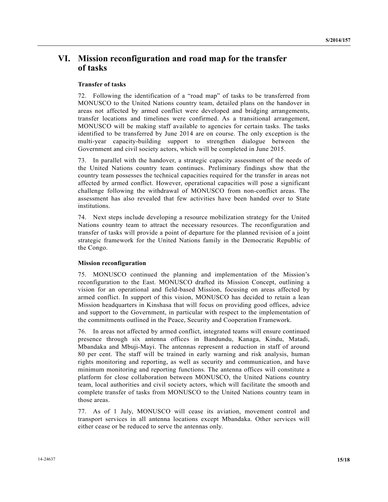# **VI. Mission reconfiguration and road map for the transfer of tasks**

## **Transfer of tasks**

72. Following the identification of a "road map" of tasks to be transferred from MONUSCO to the United Nations country team, detailed plans on the handover in areas not affected by armed conflict were developed and bridging arrangements, transfer locations and timelines were confirmed. As a transitional arrangement, MONUSCO will be making staff available to agencies for certain tasks. The tasks identified to be transferred by June 2014 are on course. The only exception is the multi-year capacity-building support to strengthen dialogue between the Government and civil society actors, which will be completed in June 2015.

73. In parallel with the handover, a strategic capacity assessment of the needs of the United Nations country team continues. Preliminary findings show that the country team possesses the technical capacities required for the transfer in areas not affected by armed conflict. However, operational capacities will pose a significant challenge following the withdrawal of MONUSCO from non-conflict areas. The assessment has also revealed that few activities have been handed over to State institutions.

74. Next steps include developing a resource mobilization strategy for the United Nations country team to attract the necessary resources. The reconfiguration and transfer of tasks will provide a point of departure for the planned revision of a joint strategic framework for the United Nations family in the Democratic Republic of the Congo.

## **Mission reconfiguration**

75. MONUSCO continued the planning and implementation of the Mission's reconfiguration to the East. MONUSCO drafted its Mission Concept, outlining a vision for an operational and field-based Mission, focusing on areas affected by armed conflict. In support of this vision, MONUSCO has decided to retain a lean Mission headquarters in Kinshasa that will focus on providing good offices, advice and support to the Government, in particular with respect to the implementation of the commitments outlined in the Peace, Security and Cooperation Framework.

76. In areas not affected by armed conflict, integrated teams will ensure continued presence through six antenna offices in Bandundu, Kanaga, Kindu, Matadi, Mbandaka and Mbuji-Mayi. The antennas represent a reduction in staff of around 80 per cent. The staff will be trained in early warning and risk analysis, human rights monitoring and reporting, as well as security and communication, and have minimum monitoring and reporting functions. The antenna offices will constitute a platform for close collaboration between MONUSCO, the United Nations country team, local authorities and civil society actors, which will facilitate the smooth and complete transfer of tasks from MONUSCO to the United Nations country team in those areas.

77. As of 1 July, MONUSCO will cease its aviation, movement control and transport services in all antenna locations except Mbandaka. Other services will either cease or be reduced to serve the antennas only.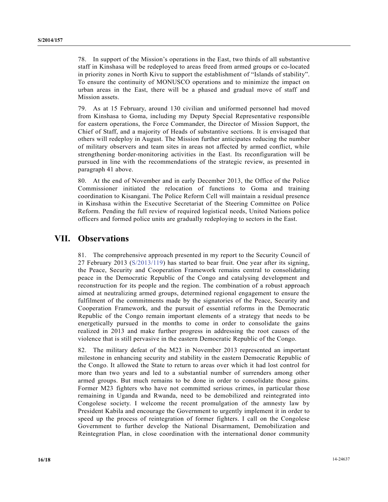78. In support of the Mission's operations in the East, two thirds of all substantive staff in Kinshasa will be redeployed to areas freed from armed groups or co-located in priority zones in North Kivu to support the establishment of "Islands of stability". To ensure the continuity of MONUSCO operations and to minimize the impact on urban areas in the East, there will be a phased and gradual move of staff and Mission assets.

79. As at 15 February, around 130 civilian and uniformed personnel had moved from Kinshasa to Goma, including my Deputy Special Representative responsible for eastern operations, the Force Commander, the Director of Mission Support, the Chief of Staff, and a majority of Heads of substantive sections. It is envisaged that others will redeploy in August. The Mission further anticipates reducing the number of military observers and team sites in areas not affected by armed conflict, while strengthening border-monitoring activities in the East. Its reconfiguration will be pursued in line with the recommendations of the strategic review, as presented in paragraph 41 above.

80. At the end of November and in early December 2013, the Office of the Police Commissioner initiated the relocation of functions to Goma and training coordination to Kisangani. The Police Reform Cell will maintain a residual presence in Kinshasa within the Executive Secretariat of the Steering Committee on Police Reform. Pending the full review of required logistical needs, United Nations police officers and formed police units are gradually redeploying to sectors in the East.

## **VII. Observations**

81. The comprehensive approach presented in my report to the Security Council of 27 February 2013 (S/2013/119) has started to bear fruit. One year after its signing, the Peace, Security and Cooperation Framework remains central to consolidating peace in the Democratic Republic of the Congo and catalysing development and reconstruction for its people and the region. The combination of a robust approach aimed at neutralizing armed groups, determined regional engagement to ensure the fulfilment of the commitments made by the signatories of the Peace, Security and Cooperation Framework, and the pursuit of essential reforms in the Democratic Republic of the Congo remain important elements of a strategy that needs to be energetically pursued in the months to come in order to consolidate the gains realized in 2013 and make further progress in addressing the root causes of the violence that is still pervasive in the eastern Democratic Republic of the Congo.

82. The military defeat of the M23 in November 2013 represented an important milestone in enhancing security and stability in the eastern Democratic Republic of the Congo. It allowed the State to return to areas over which it had lost control for more than two years and led to a substantial number of surrenders among other armed groups. But much remains to be done in order to consolidate those gains. Former M23 fighters who have not committed serious crimes, in particular those remaining in Uganda and Rwanda, need to be demobilized and reintegrated into Congolese society. I welcome the recent promulgation of the amnesty law by President Kabila and encourage the Government to urgently implement it in order to speed up the process of reintegration of former fighters. I call on the Congolese Government to further develop the National Disarmament, Demobilization and Reintegration Plan, in close coordination with the international donor community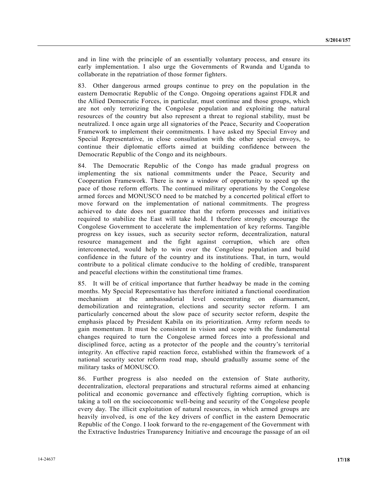and in line with the principle of an essentially voluntary process, and ensure its early implementation. I also urge the Governments of Rwanda and Uganda to collaborate in the repatriation of those former fighters.

83. Other dangerous armed groups continue to prey on the population in the eastern Democratic Republic of the Congo. Ongoing operations against FDLR and the Allied Democratic Forces, in particular, must continue and those groups, which are not only terrorizing the Congolese population and exploiting the natural resources of the country but also represent a threat to regional stability, must be neutralized. I once again urge all signatories of the Peace, Security and Cooperation Framework to implement their commitments. I have asked my Special Envoy and Special Representative, in close consultation with the other special envoys, to continue their diplomatic efforts aimed at building confidence between the Democratic Republic of the Congo and its neighbours.

84. The Democratic Republic of the Congo has made gradual progress on implementing the six national commitments under the Peace, Security and Cooperation Framework. There is now a window of opportunity to speed up the pace of those reform efforts. The continued military operations by the Congolese armed forces and MONUSCO need to be matched by a concerted political effort to move forward on the implementation of national commitments. The progress achieved to date does not guarantee that the reform processes and initiatives required to stabilize the East will take hold. I therefore strongly encourage the Congolese Government to accelerate the implementation of key reforms. Tangible progress on key issues, such as security sector reform, decentralization, natural resource management and the fight against corruption, which are often interconnected, would help to win over the Congolese population and build confidence in the future of the country and its institutions. That, in turn, would contribute to a political climate conducive to the holding of credible, transparent and peaceful elections within the constitutional time frames.

85. It will be of critical importance that further headway be made in the coming months. My Special Representative has therefore initiated a functional coordination mechanism at the ambassadorial level concentrating on disarmament, demobilization and reintegration, elections and security sector reform. I am particularly concerned about the slow pace of security sector reform, despite the emphasis placed by President Kabila on its prioritization. Army reform needs to gain momentum. It must be consistent in vision and scope with the fundamental changes required to turn the Congolese armed forces into a professional and disciplined force, acting as a protector of the people and the country's territorial integrity. An effective rapid reaction force, established within the framework of a national security sector reform road map, should gradually assume some of the military tasks of MONUSCO.

86. Further progress is also needed on the extension of State authority, decentralization, electoral preparations and structural reforms aimed at enhancing political and economic governance and effectively fighting corruption, which is taking a toll on the socioeconomic well-being and security of the Congolese people every day. The illicit exploitation of natural resources, in which armed groups are heavily involved, is one of the key drivers of conflict in the eastern Democratic Republic of the Congo. I look forward to the re-engagement of the Government with the Extractive Industries Transparency Initiative and encourage the passage of an oil